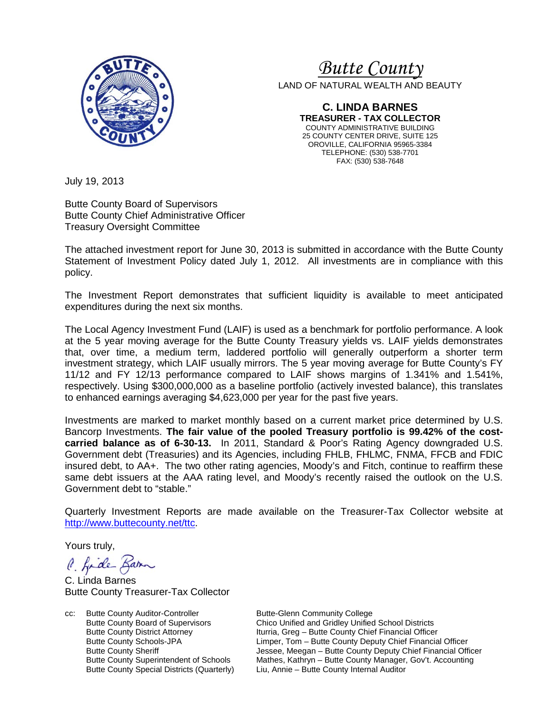

# *<sup>U</sup>Butte County*

LAND OF NATURAL WEALTH AND BEAUTY

**C. LINDA BARNES TREASURER - TAX COLLECTOR** COUNTY ADMINISTRATIVE BUILDING 25 COUNTY CENTER DRIVE, SUITE 125 OROVILLE, CALIFORNIA 95965-3384 TELEPHONE: (530) 538-7701 FAX: (530) 538-7648

July 19, 2013

Butte County Board of Supervisors Butte County Chief Administrative Officer Treasury Oversight Committee

The attached investment report for June 30, 2013 is submitted in accordance with the Butte County Statement of Investment Policy dated July 1, 2012. All investments are in compliance with this policy.

The Investment Report demonstrates that sufficient liquidity is available to meet anticipated expenditures during the next six months.

The Local Agency Investment Fund (LAIF) is used as a benchmark for portfolio performance. A look at the 5 year moving average for the Butte County Treasury yields vs. LAIF yields demonstrates that, over time, a medium term, laddered portfolio will generally outperform a shorter term investment strategy, which LAIF usually mirrors. The 5 year moving average for Butte County's FY 11/12 and FY 12/13 performance compared to LAIF shows margins of 1.341% and 1.541%, respectively. Using \$300,000,000 as a baseline portfolio (actively invested balance), this translates to enhanced earnings averaging \$4,623,000 per year for the past five years.

Investments are marked to market monthly based on a current market price determined by U.S. Bancorp Investments. **The fair value of the pooled Treasury portfolio is 99.42% of the costcarried balance as of 6-30-13.** In 2011, Standard & Poor's Rating Agency downgraded U.S. Government debt (Treasuries) and its Agencies, including FHLB, FHLMC, FNMA, FFCB and FDIC insured debt, to AA+. The two other rating agencies, Moody's and Fitch, continue to reaffirm these same debt issuers at the AAA rating level, and Moody's recently raised the outlook on the U.S. Government debt to "stable."

Quarterly Investment Reports are made available on the Treasurer-Tax Collector website at <http://www.buttecounty.net/ttc>.

Yours truly,

C. fide Bar

C. Linda Barnes Butte County Treasurer-Tax Collector

cc: Butte County Auditor-Controller Butte-Glenn Community College<br>Butte County Board of Supervisors Chico Unified and Gridley Unified

Chico Unified and Gridley Unified School Districts Butte County District Attorney **Iturria, Greg – Butte County Chief Financial Officer**<br>
Limper, Tom – Butte County Deputy Chief Financia Butte County Schools-JPA Limper, Tom – Butte County Deputy Chief Financial Officer<br>Butte County Sheriff **Deputy Chief Financial Officer**<br>Jessee, Meegan – Butte County Deputy Chief Financial Officer Butte County Sheriff **The County Sheriff County Sheriff County Deputy Chief Financial Officer**<br>Butte County Superintendent of Schools Mathes, Kathryn – Butte County Manager, Gov't. Accounting Mathes, Kathryn – Butte County Manager, Gov't. Accounting Butte County Special Districts (Quarterly) Liu, Annie – Butte County Internal Auditor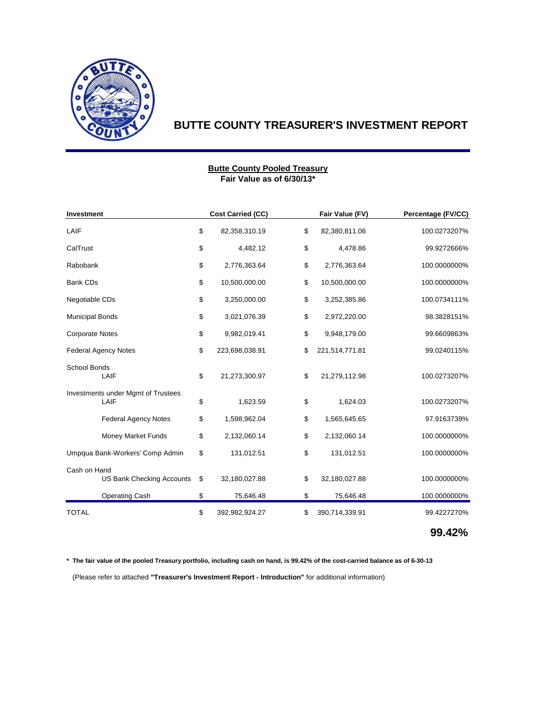

# **BUTTE COUNTY TREASURER'S INVESTMENT REPORT**

#### **Fair Value as of 6/30/13\* Butte County Pooled Treasury**

| <b>Investment</b>                                |    | <b>Cost Carried (CC)</b> | Fair Value (FV)      | Percentage (FV/CC) |  |
|--------------------------------------------------|----|--------------------------|----------------------|--------------------|--|
| LAIF                                             | \$ | 82,358,310.19            | \$<br>82,380,811.06  | 100.0273207%       |  |
| CalTrust                                         |    | 4,482.12                 | \$<br>4,478.86       | 99.9272666%        |  |
| Rabobank                                         | \$ | 2,776,363.64             | \$<br>2,776,363.64   | 100.0000000%       |  |
| <b>Bank CDs</b>                                  | \$ | 10,500,000.00            | \$<br>10,500,000.00  | 100.0000000%       |  |
| Negotiable CDs                                   | \$ | 3,250,000.00             | \$<br>3,252,385.86   | 100.0734111%       |  |
| <b>Municipal Bonds</b>                           | \$ | 3,021,076.39             | \$<br>2,972,220.00   | 98.3828151%        |  |
| <b>Corporate Notes</b>                           |    | 9,982,019.41             | \$<br>9,948,179.00   | 99.6609863%        |  |
| <b>Federal Agency Notes</b>                      | \$ | 223,698,038.91           | \$<br>221,514,771.81 | 99.0240115%        |  |
| <b>School Bonds</b><br>LAIF                      | \$ | 21,273,300.97            | \$<br>21,279,112.98  | 100.0273207%       |  |
| Investments under Mgmt of Trustees<br>LAIF       | \$ | 1,623.59                 | \$<br>1,624.03       | 100.0273207%       |  |
| <b>Federal Agency Notes</b>                      | \$ | 1,598,962.04             | \$<br>1,565,645.65   | 97.9163739%        |  |
| Money Market Funds                               | \$ | 2,132,060.14             | \$<br>2,132,060.14   | 100.0000000%       |  |
| Umpqua Bank-Workers' Comp Admin                  | \$ | 131,012.51               | \$<br>131,012.51     | 100.0000000%       |  |
| Cash on Hand<br><b>US Bank Checking Accounts</b> | \$ | 32,180,027.88            | \$<br>32,180,027.88  | 100.0000000%       |  |
| <b>Operating Cash</b>                            | \$ | 75,646.48                | \$<br>75,646.48      | 100.0000000%       |  |
| <b>TOTAL</b>                                     | \$ | 392,982,924.27           | \$<br>390,714,339.91 | 99.4227270%        |  |

### **99.42%**

**\* The fair value of the pooled Treasury portfolio, including cash on hand, is 99.42% of the cost-carried balance as of 6-30-13** (Please refer to attached **"Treasurer's Investment Report - Introduction"** for additional information)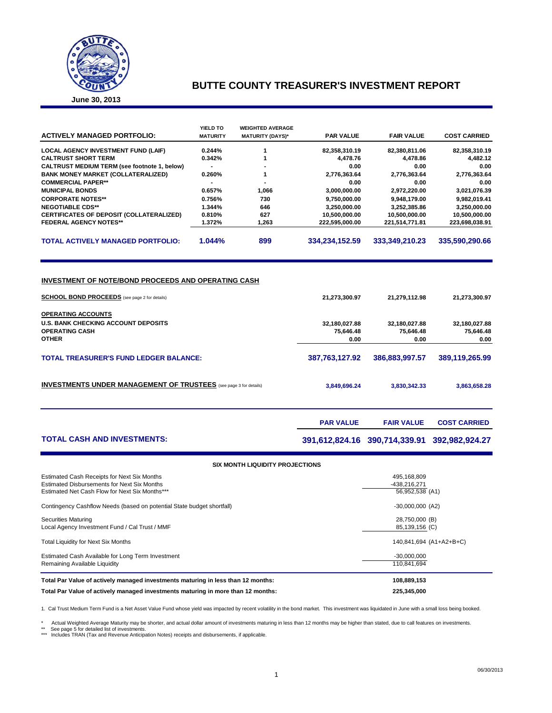

### **BUTTE COUNTY TREASURER'S INVESTMENT REPORT**

**June 30, 2013**

| <b>ACTIVELY MANAGED PORTFOLIO:</b>                  | YIELD TO<br><b>MATURITY</b> | <b>WEIGHTED AVERAGE</b><br><b>MATURITY (DAYS)*</b> | <b>PAR VALUE</b> | <b>FAIR VALUE</b> | <b>COST CARRIED</b> |
|-----------------------------------------------------|-----------------------------|----------------------------------------------------|------------------|-------------------|---------------------|
| <b>LOCAL AGENCY INVESTMENT FUND (LAIF)</b>          | 0.244%                      |                                                    | 82,358,310.19    | 82,380,811.06     | 82,358,310.19       |
| <b>CALTRUST SHORT TERM</b>                          | 0.342%                      |                                                    | 4.478.76         | 4.478.86          | 4,482.12            |
| <b>CALTRUST MEDIUM TERM (see footnote 1, below)</b> |                             |                                                    | 0.00             | 0.00              | 0.00                |
| <b>BANK MONEY MARKET (COLLATERALIZED)</b>           | 0.260%                      |                                                    | 2,776,363.64     | 2,776,363.64      | 2,776,363.64        |
| <b>COMMERCIAL PAPER**</b>                           |                             |                                                    | 0.00             | 0.00              | 0.00                |
| <b>MUNICIPAL BONDS</b>                              | 0.657%                      | 1.066                                              | 3,000,000.00     | 2,972,220.00      | 3,021,076.39        |
| <b>CORPORATE NOTES**</b>                            | 0.756%                      | 730                                                | 9,750,000.00     | 9.948.179.00      | 9,982,019.41        |
| <b>NEGOTIABLE CDS**</b>                             | 1.344%                      | 646                                                | 3,250,000.00     | 3,252,385.86      | 3,250,000.00        |
| <b>CERTIFICATES OF DEPOSIT (COLLATERALIZED)</b>     | 0.810%                      | 627                                                | 10.500.000.00    | 10,500,000.00     | 10,500,000.00       |
| <b>FEDERAL AGENCY NOTES**</b>                       | 1.372%                      | 1.263                                              | 222.595.000.00   | 221.514.771.81    | 223.698.038.91      |
| <b>TOTAL ACTIVELY MANAGED PORTFOLIO:</b>            | 1.044%                      | 899                                                | 334.234.152.59   | 333.349.210.23    | 335.590.290.66      |

#### **INVESTMENT OF NOTE/BOND PROCEEDS AND OPERATING CASH**

| <b>SCHOOL BOND PROCEEDS</b> (see page 2 for details)                     | 21,273,300.97  | 21,279,112.98  | 21,273,300.97  |
|--------------------------------------------------------------------------|----------------|----------------|----------------|
| <b>OPERATING ACCOUNTS</b>                                                |                |                |                |
| <b>U.S. BANK CHECKING ACCOUNT DEPOSITS</b>                               | 32,180,027.88  | 32,180,027.88  | 32,180,027.88  |
| <b>OPERATING CASH</b>                                                    | 75,646.48      | 75,646.48      | 75,646.48      |
| <b>OTHER</b>                                                             | 0.00           | 0.00           | 0.00           |
| <b>TOTAL TREASURER'S FUND LEDGER BALANCE:</b>                            | 387,763,127.92 | 386.883.997.57 | 389,119,265.99 |
| <b>INVESTMENTS UNDER MANAGEMENT OF TRUSTEES</b> (see page 3 for details) | 3,849,696.24   | 3,830,342.33   | 3,863,658.28   |
|                                                                          |                |                |                |

### **TOTAL CASH AND INVESTMENTS: 391,612,824.16 390,714,339.91 392,982,924.27**

**PAR VALUE FAIR VALUE COST CARRIED** 

| <b>SIX MONTH LIQUIDITY PROJECTIONS</b>                                                                                                       |                                                |  |  |  |  |  |  |
|----------------------------------------------------------------------------------------------------------------------------------------------|------------------------------------------------|--|--|--|--|--|--|
| Estimated Cash Receipts for Next Six Months<br>Estimated Disbursements for Next Six Months<br>Estimated Net Cash Flow for Next Six Months*** | 495.168.809<br>-438,216,271<br>56,952,538 (A1) |  |  |  |  |  |  |
| Contingency Cashflow Needs (based on potential State budget shortfall)                                                                       | $-30,000,000$ (A2)                             |  |  |  |  |  |  |
| <b>Securities Maturing</b><br>Local Agency Investment Fund / Cal Trust / MMF                                                                 | 28,750,000 (B)<br>85,139,156 (C)               |  |  |  |  |  |  |
| <b>Total Liquidity for Next Six Months</b>                                                                                                   | 140,841,694 (A1+A2+B+C)                        |  |  |  |  |  |  |
| Estimated Cash Available for Long Term Investment<br>Remaining Available Liquidity                                                           | $-30,000,000$<br>110.841.694                   |  |  |  |  |  |  |
| Total Par Value of actively managed investments maturing in less than 12 months:                                                             | 108,889,153                                    |  |  |  |  |  |  |
| Total Par Value of actively managed investments maturing in more than 12 months:                                                             | 225.345.000                                    |  |  |  |  |  |  |

1. Cal Trust Medium Term Fund is a Net Asset Value Fund whose yield was impacted by recent volatility in the bond market. This investment was liquidated in June with a small loss being booked.

\* Actual Weighted Average Maturity may be shorter, and actual dollar amount of investments maturing in less than 12 months may be higher than stated, due to call features on investments.

\*\* See page 5 for detailed list of investments. \*\*\* Includes TRAN (Tax and Revenue Anticipation Notes) receipts and disbursements, if applicable.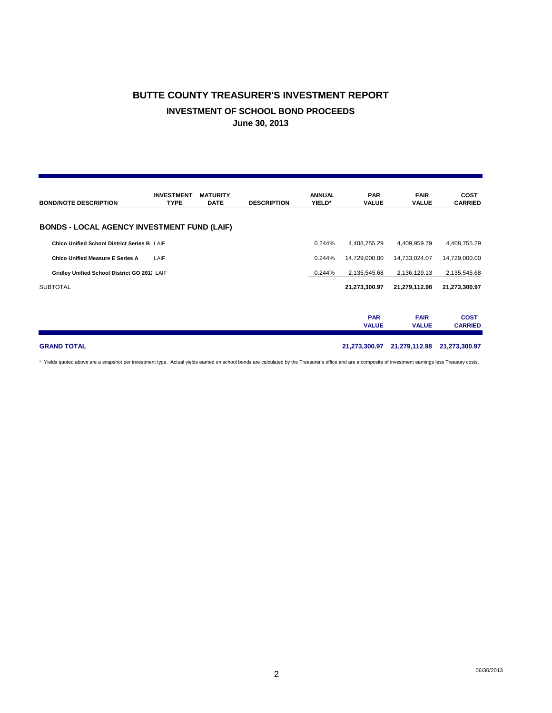# **BUTTE COUNTY TREASURER'S INVESTMENT REPORT INVESTMENT OF SCHOOL BOND PROCEEDS June 30, 2013**

| <b>BOND/NOTE DESCRIPTION</b>                       | <b>INVESTMENT</b><br><b>TYPE</b> | <b>MATURITY</b><br><b>DATE</b> | <b>DESCRIPTION</b> | <b>ANNUAL</b><br>YIELD* | <b>PAR</b><br><b>VALUE</b> | <b>FAIR</b><br><b>VALUE</b> | <b>COST</b><br><b>CARRIED</b> |
|----------------------------------------------------|----------------------------------|--------------------------------|--------------------|-------------------------|----------------------------|-----------------------------|-------------------------------|
| <b>BONDS - LOCAL AGENCY INVESTMENT FUND (LAIF)</b> |                                  |                                |                    |                         |                            |                             |                               |
| Chico Unified School District Series B LAIF        |                                  |                                |                    | 0.244%                  | 4,408,755.29               | 4,409,959.79                | 4,408,755.29                  |
| <b>Chico Unified Measure E Series A</b>            | LAIF                             |                                |                    | 0.244%                  | 14,729,000.00              | 14,733,024.07               | 14,729,000.00                 |
| Gridley Unified School District GO 2011 LAIF       |                                  |                                |                    | 0.244%                  | 2,135,545.68               | 2,136,129.13                | 2,135,545.68                  |
| <b>SUBTOTAL</b>                                    |                                  |                                |                    |                         | 21,273,300.97              | 21,279,112.98               | 21,273,300.97                 |
|                                                    |                                  |                                |                    |                         | <b>PAR</b><br><b>VALUE</b> | <b>FAIR</b><br><b>VALUE</b> | <b>COST</b><br><b>CARRIED</b> |
| <b>GRAND TOTAL</b>                                 |                                  |                                |                    |                         | 21,273,300.97              | 21,279,112.98               | 21,273,300.97                 |

\* Yields quoted above are a snapshot per investment type. Actual yields earned on school bonds are calculated by the Treasurer's office and are a composite of investment earnings less Treasury costs.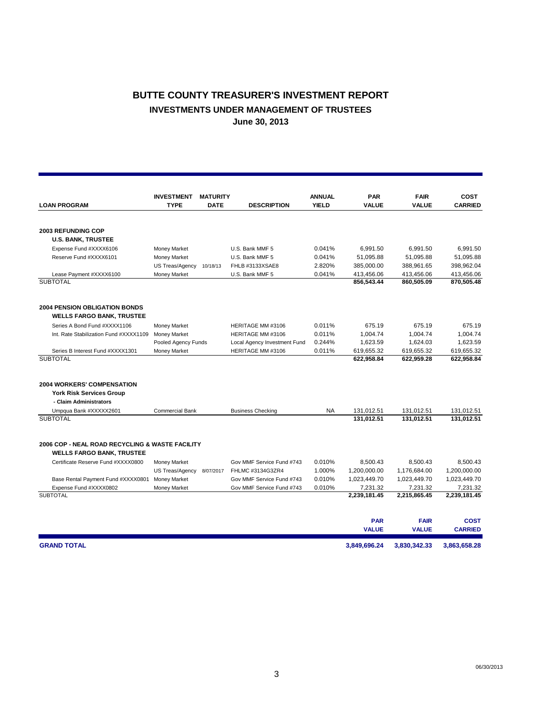## **BUTTE COUNTY TREASURER'S INVESTMENT REPORT INVESTMENTS UNDER MANAGEMENT OF TRUSTEES June 30, 2013**

|                                                                          | <b>INVESTMENT</b>      | <b>MATURITY</b> |                              | <b>ANNUAL</b> | <b>PAR</b>   | <b>FAIR</b>  | <b>COST</b>    |
|--------------------------------------------------------------------------|------------------------|-----------------|------------------------------|---------------|--------------|--------------|----------------|
| <b>LOAN PROGRAM</b>                                                      | <b>TYPE</b>            | <b>DATE</b>     | <b>DESCRIPTION</b>           | <b>YIELD</b>  | <b>VALUE</b> | <b>VALUE</b> | <b>CARRIED</b> |
|                                                                          |                        |                 |                              |               |              |              |                |
| <b>2003 REFUNDING COP</b>                                                |                        |                 |                              |               |              |              |                |
| <b>U.S. BANK, TRUSTEE</b>                                                |                        |                 |                              |               |              |              |                |
| Expense Fund #XXXX6106                                                   | Money Market           |                 | U.S. Bank MMF 5              | 0.041%        | 6,991.50     | 6,991.50     | 6,991.50       |
| Reserve Fund #XXXX6101                                                   | Money Market           |                 | U.S. Bank MMF 5              | 0.041%        | 51,095.88    | 51,095.88    | 51,095.88      |
|                                                                          | US Treas/Agency        | 10/18/13        | FHLB #3133XSAE8              | 2.820%        | 385,000.00   | 388,961.65   | 398,962.04     |
| Lease Payment #XXXX6100                                                  | Money Market           |                 | U.S. Bank MMF 5              | 0.041%        | 413,456.06   | 413,456.06   | 413,456.06     |
| <b>SUBTOTAL</b>                                                          |                        |                 |                              |               | 856,543.44   | 860,505.09   | 870,505.48     |
| <b>2004 PENSION OBLIGATION BONDS</b><br><b>WELLS FARGO BANK, TRUSTEE</b> |                        |                 |                              |               |              |              |                |
| Series A Bond Fund #XXXX1106                                             | Money Market           |                 | HERITAGE MM #3106            | 0.011%        | 675.19       | 675.19       | 675.19         |
| Int. Rate Stabilization Fund #XXXX1109                                   | <b>Money Market</b>    |                 | HERITAGE MM #3106            | 0.011%        | 1,004.74     | 1,004.74     | 1,004.74       |
|                                                                          | Pooled Agency Funds    |                 | Local Agency Investment Fund | 0.244%        | 1,623.59     | 1,624.03     | 1,623.59       |
| Series B Interest Fund #XXXX1301                                         | Money Market           |                 | HERITAGE MM #3106            | 0.011%        | 619,655.32   | 619,655.32   | 619,655.32     |
| <b>SUBTOTAL</b>                                                          |                        |                 |                              |               | 622,958.84   | 622,959.28   | 622,958.84     |
| 2004 WORKERS' COMPENSATION                                               |                        |                 |                              |               |              |              |                |
| <b>York Risk Services Group</b>                                          |                        |                 |                              |               |              |              |                |
| - Claim Administrators                                                   |                        |                 |                              |               |              |              |                |
| Umpqua Bank #XXXXX2601                                                   | <b>Commercial Bank</b> |                 | <b>Business Checking</b>     | <b>NA</b>     | 131,012.51   | 131,012.51   | 131,012.51     |
| <b>SUBTOTAL</b>                                                          |                        |                 |                              |               | 131.012.51   | 131.012.51   | 131.012.51     |
| 2006 COP - NEAL ROAD RECYCLING & WASTE FACILITY                          |                        |                 |                              |               |              |              |                |
| <b>WELLS FARGO BANK, TRUSTEE</b>                                         |                        |                 |                              |               |              |              |                |
| Certificate Reserve Fund #XXXX0800                                       | Money Market           |                 | Gov MMF Service Fund #743    | 0.010%        | 8,500.43     | 8,500.43     | 8,500.43       |
|                                                                          | <b>US Treas/Agency</b> | 8/07/2017       | FHLMC #3134G3ZR4             | 1.000%        | 1,200,000.00 | 1,176,684.00 | 1,200,000.00   |
| Base Rental Payment Fund #XXXX0801                                       | <b>Money Market</b>    |                 | Gov MMF Service Fund #743    | 0.010%        | 1,023,449.70 | 1,023,449.70 | 1,023,449.70   |
| Expense Fund #XXXX0802                                                   | Money Market           |                 | Gov MMF Service Fund #743    | 0.010%        | 7,231.32     | 7,231.32     | 7,231.32       |
| <b>SUBTOTAL</b>                                                          |                        |                 |                              |               | 2,239,181.45 | 2,215,865.45 | 2,239,181.45   |
|                                                                          |                        |                 |                              |               | <b>PAR</b>   | <b>FAIR</b>  | <b>COST</b>    |
|                                                                          |                        |                 |                              |               | <b>VALUE</b> | <b>VALUE</b> | <b>CARRIED</b> |
| <b>GRAND TOTAL</b>                                                       |                        |                 |                              |               | 3.849.696.24 | 3.830.342.33 | 3,863,658.28   |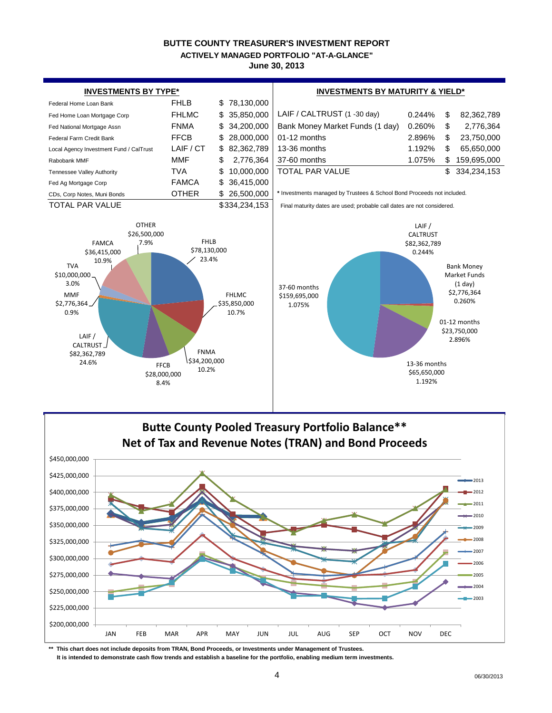#### **BUTTE COUNTY TREASURER'S INVESTMENT REPORT June 30, 2013 ACTIVELY MANAGED PORTFOLIO "AT-A-GLANCE"**





**\*\* This chart does not include deposits from TRAN, Bond Proceeds, or Investments under Management of Trustees.**

 **It is intended to demonstrate cash flow trends and establish a baseline for the portfolio, enabling medium term investments.**